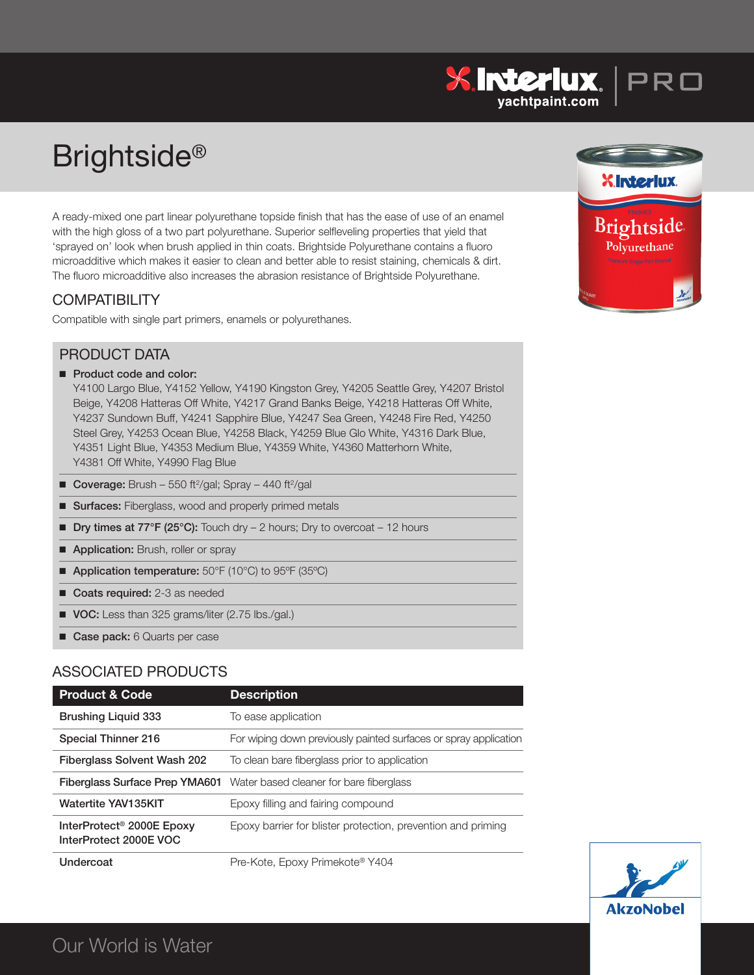# Brightside®

A ready-mixed one part linear polyurethane topside finish that has the ease of use of an enamel with the high gloss of a two part polyurethane. Superior selfleveling properties that yield that 'sprayed on' look when brush applied in thin coats. Brightside Polyurethane contains a fluoro microadditive which makes it easier to clean and better able to resist staining, chemicals & dirt. The fluoro microadditive also increases the abrasion resistance of Brightside Polyurethane.

## **COMPATIBILITY**

Compatible with single part primers, enamels or polyurethanes.



 $\frac{\partial \mathbf{S}}{\partial \mathbf{S}}$  **INTERIUX**  $\Big|\mathsf{P}\mathsf{R}\square$ 

## PRODUCT DATA

■ **Product code** and **color:** 

Y4100 Largo Blue, Y4152 Yellow, Y4190 Kingston Grey, Y4205 Seattle Grey, Y4207 Bristol Beige, Y4208 Hatteras Off White, Y4217 Grand Banks Beige, Y4218 Hatteras Off White, Y4237 Sundown Buff, Y4241 Sapphire Blue, Y4247 Sea Green, Y4248 Fire Red, Y4250 Steel Grey, Y4253 Ocean Blue, Y4258 Black, Y4259 Blue Glo White, Y4316 Dark Blue, Y4351 Light Blue, Y4353 Medium Blue, Y4359 White, Y4360 Matterhorn White, Y4381 Off White, Y4990 Flag Blue

- Coverage: Brush 550 ft<sup>2</sup>/gal; Spray 440 ft<sup>2</sup>/gal
- **E** Surfaces: Fiberglass, wood and properly primed metals
- **Dry times at 77°F (25°C):** Touch dry 2 hours; Dry to overcoat 12 hours
- **Application:** Brush, roller or spray
- **Application temperature:** 50°F (10°C) to 95°F (35°C)
- **n** Coats required: 2-3 as needed
- **voc:** Less than 325 grams/liter (2.75 lbs./gal.)
- **E** Case pack: 6 Quarts per case

## ASSOCIATED PRODUCTS

| <b>Product &amp; Code</b>                                       | <b>Description</b>                                                            |
|-----------------------------------------------------------------|-------------------------------------------------------------------------------|
| <b>Brushing Liquid 333</b>                                      | To ease application                                                           |
| Special Thinner 216                                             | For wiping down previously painted surfaces or spray application              |
| <b>Fiberglass Solvent Wash 202</b>                              | To clean bare fiberglass prior to application                                 |
|                                                                 | <b>Fiberglass Surface Prep YMA601</b> Water based cleaner for bare fiberglass |
| <b>Watertite YAV135KIT</b>                                      | Epoxy filling and fairing compound                                            |
| InterProtect <sup>®</sup> 2000E Epoxy<br>InterProtect 2000E VOC | Epoxy barrier for blister protection, prevention and priming                  |
| Undercoat                                                       | Pre-Kote, Epoxy Primekote® Y404                                               |